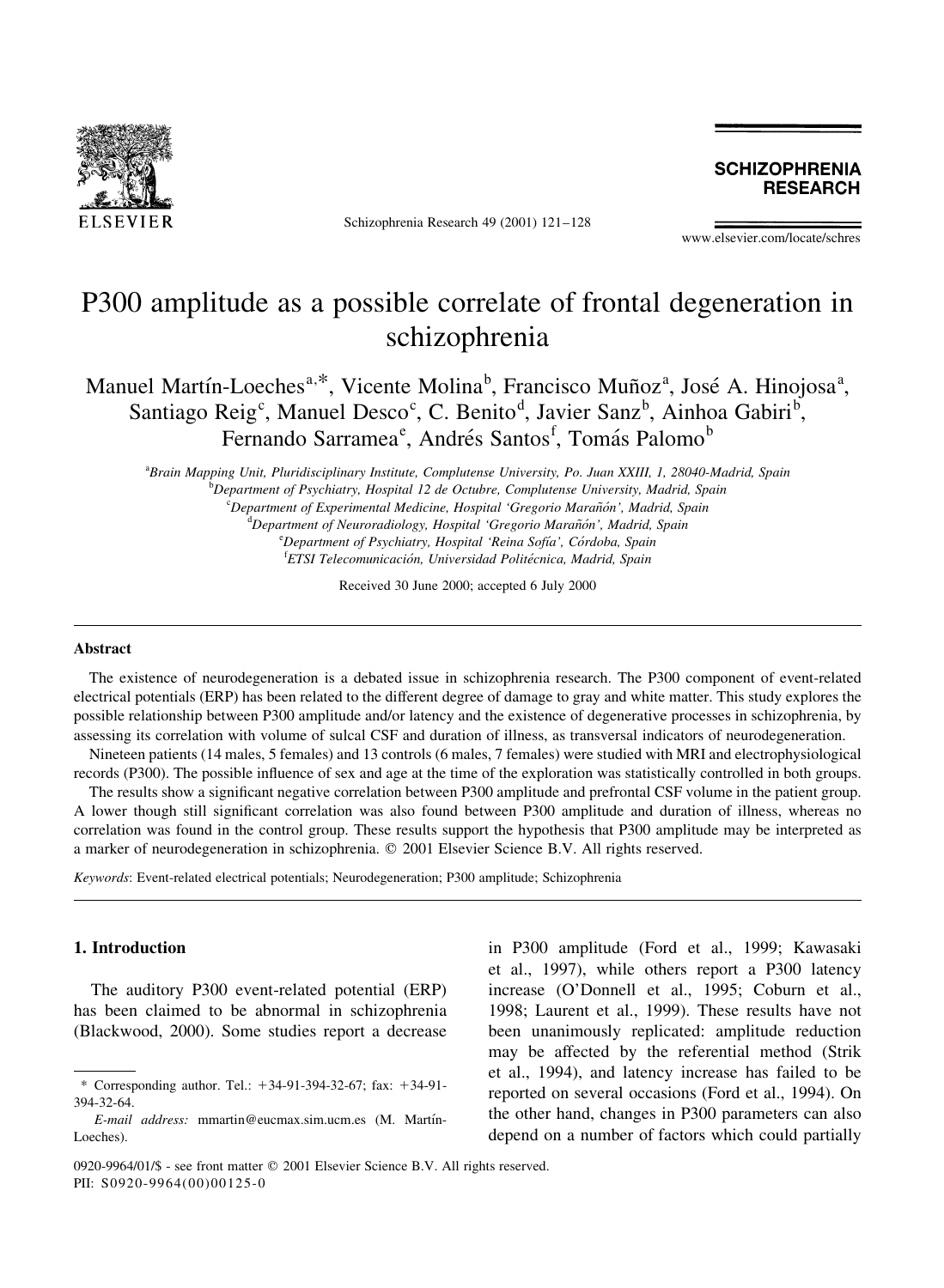

Schizophrenia Research 49 (2001) 121-128

**SCHIZOPHRENIA RESEARCH** 

www.elsevier.com/locate/schres

# P300 amplitude as a possible correlate of frontal degeneration in schizophrenia

Manuel Martín-Loeches<sup>a,\*</sup>, Vicente Molina<sup>b</sup>, Francisco Muñoz<sup>a</sup>, José A. Hinojosa<sup>a</sup>, Santiago Reig<sup>c</sup>, Manuel Desco<sup>c</sup>, C. Benito<sup>d</sup>, Javier Sanz<sup>b</sup>, Ainhoa Gabiri<sup>b</sup>, Fernando Sarramea<sup>e</sup>, Andrés Santos<sup>f</sup>, Tomás Palomo<sup>b</sup>

<sup>a</sup>Brain Mapping Unit, Pluridisciplinary Institute, Complutense University, Po. Juan XXIII, 1, 28040-Madrid, Spain  $^{\rm b}$ Department of Psychiatry, Hospital 12 de Octubre, Complutense University, Madrid, Spain <sup>c</sup>Department of Experimental Medicine, Hospital 'Gregorio Marañón', Madrid, Spain <sup>d</sup>Department of Neuroradiology, Hospital 'Gregorio Marañón', Madrid, Spain <sup>e</sup>Department of Psychiatry, Hospital 'Reina Sofía', Córdoba, Spain <sup>f</sup>ETSI Telecomunicación, Universidad Politécnica, Madrid, Spain

Received 30 June 2000; accepted 6 July 2000

#### **Abstract**

The existence of neurodegeneration is a debated issue in schizophrenia research. The P300 component of event-related electrical potentials (ERP) has been related to the different degree of damage to gray and white matter. This study explores the possible relationship between P300 amplitude and/or latency and the existence of degenerative processes in schizophrenia, by assessing its correlation with volume of sulcal CSF and duration of illness, as transversal indicators of neurodegeneration.

Nineteen patients (14 males, 5 females) and 13 controls (6 males, 7 females) were studied with MRI and electrophysiological records (P300). The possible influence of sex and age at the time of the exploration was statistically controlled in both groups.

The results show a significant negative correlation between P300 amplitude and prefrontal CSF volume in the patient group. A lower though still significant correlation was also found between P300 amplitude and duration of illness, whereas no correlation was found in the control group. These results support the hypothesis that P300 amplitude may be interpreted as a marker of neurodegeneration in schizophrenia. © 2001 Elsevier Science B.V. All rights reserved.

Keywords: Event-related electrical potentials; Neurodegeneration; P300 amplitude; Schizophrenia

#### 1. Introduction

The auditory P300 event-related potential (ERP) has been claimed to be abnormal in schizophrenia (Blackwood, 2000). Some studies report a decrease

in P300 amplitude (Ford et al., 1999; Kawasaki et al., 1997), while others report a P300 latency increase (O'Donnell et al., 1995; Coburn et al., 1998; Laurent et al., 1999). These results have not been unanimously replicated: amplitude reduction may be affected by the referential method (Strik et al., 1994), and latency increase has failed to be reported on several occasions (Ford et al., 1994). On the other hand, changes in P300 parameters can also depend on a number of factors which could partially

<sup>\*</sup> Corresponding author. Tel.:  $+34-91-394-32-67$ ; fax:  $+34-91-$ 394-32-64.

E-mail address: mmartin@eucmax.sim.ucm.es (M. Martín-Loeches).

<sup>0920-9964/01/\$ -</sup> see front matter © 2001 Elsevier Science B.V. All rights reserved. PII: S0920-9964(00)00125-0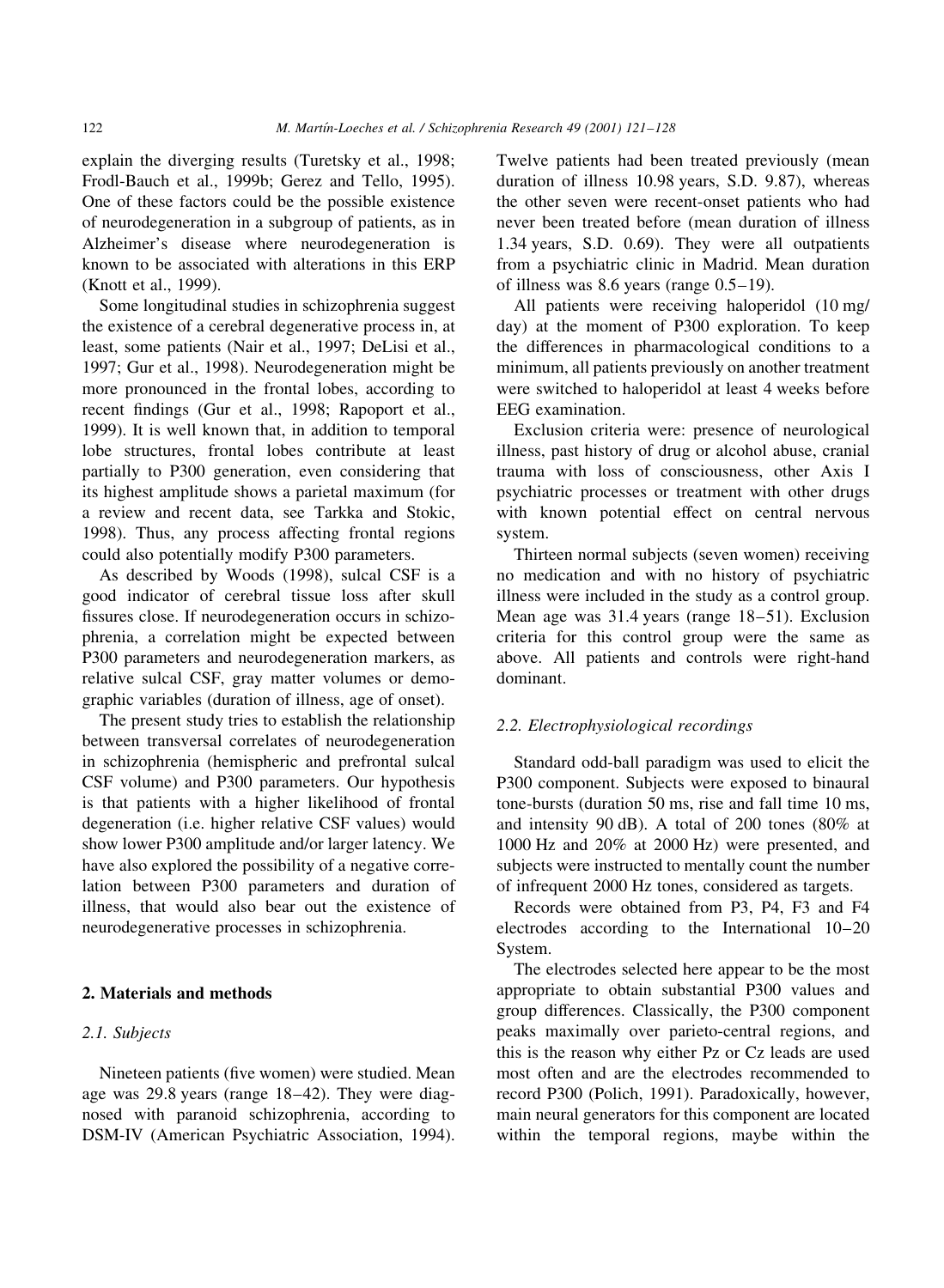explain the diverging results (Turetsky et al., 1998; Frodl-Bauch et al., 1999b; Gerez and Tello, 1995). One of these factors could be the possible existence of neurodegeneration in a subgroup of patients, as in Alzheimer's disease where neurodegeneration is known to be associated with alterations in this ERP (Knott et al., 1999).

Some longitudinal studies in schizophrenia suggest the existence of a cerebral degenerative process in, at least, some patients (Nair et al., 1997; DeLisi et al., 1997; Gur et al., 1998). Neurodegeneration might be more pronounced in the frontal lobes, according to recent findings (Gur et al., 1998; Rapoport et al., 1999). It is well known that, in addition to temporal lobe structures, frontal lobes contribute at least partially to P300 generation, even considering that its highest amplitude shows a parietal maximum (for a review and recent data, see Tarkka and Stokic, 1998). Thus, any process affecting frontal regions could also potentially modify P300 parameters.

As described by Woods (1998), sulcal CSF is a good indicator of cerebral tissue loss after skull fissures close. If neurodegeneration occurs in schizophrenia, a correlation might be expected between P300 parameters and neurodegeneration markers, as relative sulcal CSF, gray matter volumes or demographic variables (duration of illness, age of onset).

The present study tries to establish the relationship between transversal correlates of neurodegeneration in schizophrenia (hemispheric and prefrontal sulcal CSF volume) and P300 parameters. Our hypothesis is that patients with a higher likelihood of frontal degeneration (i.e. higher relative CSF values) would show lower P300 amplitude and/or larger latency. We have also explored the possibility of a negative correlation between P300 parameters and duration of illness, that would also bear out the existence of neurodegenerative processes in schizophrenia.

## 2. Materials and methods

#### 2.1. Subjects

Nineteen patients (five women) were studied. Mean age was 29.8 years (range 18-42). They were diagnosed with paranoid schizophrenia, according to DSM-IV (American Psychiatric Association, 1994). Twelve patients had been treated previously (mean duration of illness 10.98 years, S.D. 9.87), whereas the other seven were recent-onset patients who had never been treated before (mean duration of illness 1.34 years, S.D. 0.69). They were all outpatients from a psychiatric clinic in Madrid. Mean duration of illness was 8.6 years (range  $0.5-19$ ).

All patients were receiving haloperidol (10 mg/ day) at the moment of P300 exploration. To keep the differences in pharmacological conditions to a minimum, all patients previously on another treatment were switched to haloperidol at least 4 weeks before EEG examination.

Exclusion criteria were: presence of neurological illness, past history of drug or alcohol abuse, cranial trauma with loss of consciousness, other Axis I psychiatric processes or treatment with other drugs with known potential effect on central nervous system.

Thirteen normal subjects (seven women) receiving no medication and with no history of psychiatric illness were included in the study as a control group. Mean age was 31.4 years (range 18–51). Exclusion criteria for this control group were the same as above. All patients and controls were right-hand dominant.

## 2.2. Electrophysiological recordings

Standard odd-ball paradigm was used to elicit the P300 component. Subjects were exposed to binaural tone-bursts (duration 50 ms, rise and fall time 10 ms, and intensity 90 dB). A total of 200 tones (80% at 1000 Hz and 20% at 2000 Hz) were presented, and subjects were instructed to mentally count the number of infrequent 2000 Hz tones, considered as targets.

Records were obtained from P3, P4, F3 and F4 electrodes according to the International 10-20 System.

The electrodes selected here appear to be the most appropriate to obtain substantial P300 values and group differences. Classically, the P300 component peaks maximally over parieto-central regions, and this is the reason why either Pz or Cz leads are used most often and are the electrodes recommended to record P300 (Polich, 1991). Paradoxically, however, main neural generators for this component are located within the temporal regions, maybe within the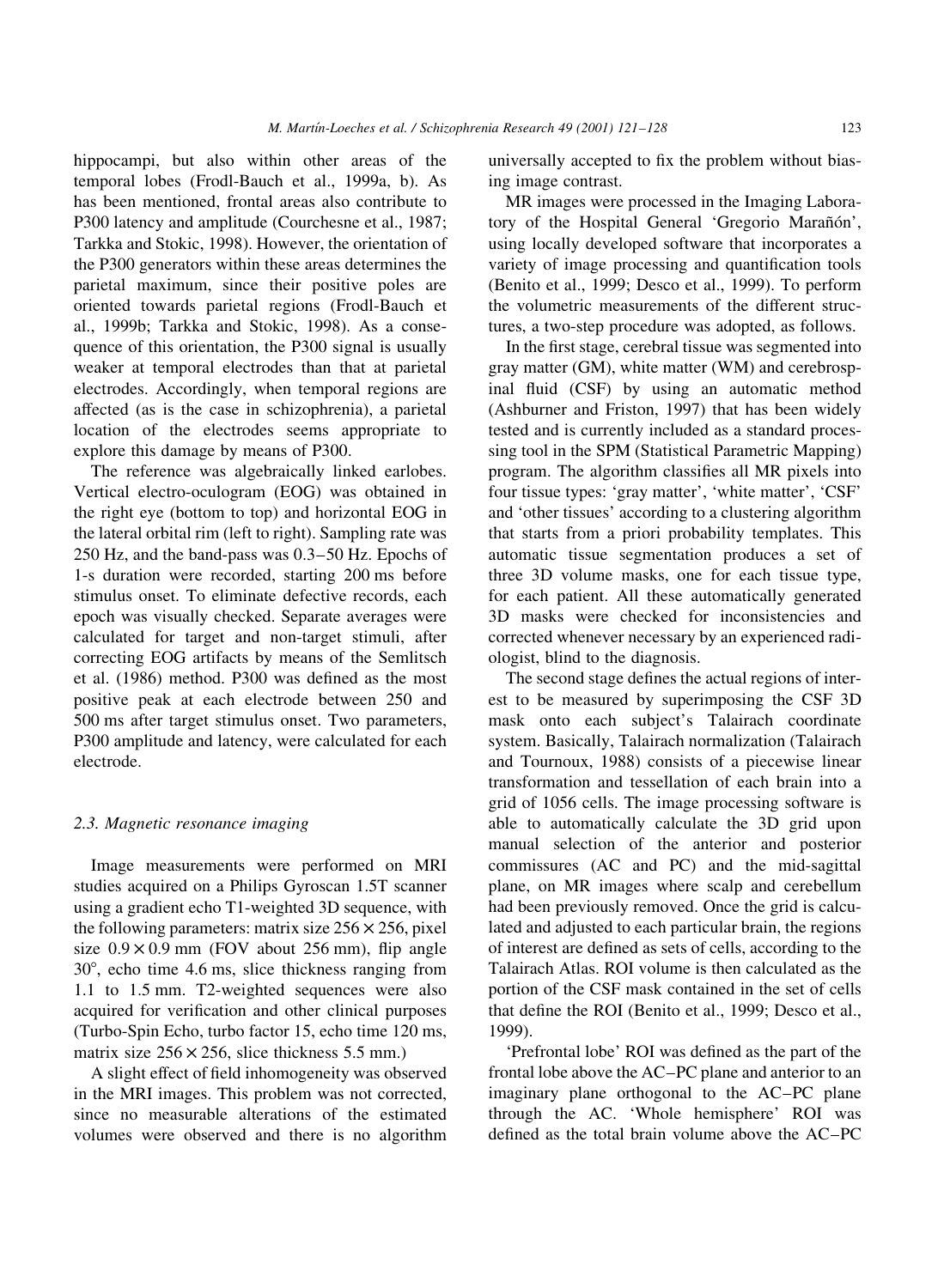hippocampi, but also within other areas of the temporal lobes (Frodl-Bauch et al., 1999a, b). As has been mentioned, frontal areas also contribute to P300 latency and amplitude (Courchesne et al., 1987; Tarkka and Stokic, 1998). However, the orientation of the P300 generators within these areas determines the parietal maximum, since their positive poles are oriented towards parietal regions (Frodl-Bauch et al., 1999b; Tarkka and Stokic, 1998). As a consequence of this orientation, the P300 signal is usually weaker at temporal electrodes than that at parietal electrodes. Accordingly, when temporal regions are affected (as is the case in schizophrenia), a parietal location of the electrodes seems appropriate to explore this damage by means of P300.

The reference was algebraically linked earlobes. Vertical electro-oculogram (EOG) was obtained in the right eye (bottom to top) and horizontal EOG in the lateral orbital rim (left to right). Sampling rate was 250 Hz, and the band-pass was 0.3–50 Hz. Epochs of 1-s duration were recorded, starting 200 ms before stimulus onset. To eliminate defective records, each epoch was visually checked. Separate averages were calculated for target and non-target stimuli, after correcting EOG artifacts by means of the Semlitsch et al. (1986) method. P300 was defined as the most positive peak at each electrode between 250 and 500 ms after target stimulus onset. Two parameters, P300 amplitude and latency, were calculated for each electrode.

#### 2.3. Magnetic resonance imaging

Image measurements were performed on MRI studies acquired on a Philips Gyroscan 1.5T scanner using a gradient echo T1-weighted 3D sequence, with the following parameters: matrix size  $256 \times 256$ , pixel size  $0.9 \times 0.9$  mm (FOV about 256 mm), flip angle  $30^{\circ}$ , echo time 4.6 ms, slice thickness ranging from 1.1 to 1.5 mm. T2-weighted sequences were also acquired for verification and other clinical purposes (Turbo-Spin Echo, turbo factor 15, echo time 120 ms, matrix size  $256 \times 256$ , slice thickness 5.5 mm.)

A slight effect of field inhomogeneity was observed in the MRI images. This problem was not corrected, since no measurable alterations of the estimated volumes were observed and there is no algorithm universally accepted to fix the problem without biasing image contrast.

MR images were processed in the Imaging Laboratory of the Hospital General 'Gregorio Marañón', using locally developed software that incorporates a variety of image processing and quantification tools (Benito et al., 1999; Desco et al., 1999). To perform the volumetric measurements of the different structures, a two-step procedure was adopted, as follows.

In the first stage, cerebral tissue was segmented into gray matter (GM), white matter (WM) and cerebrospinal fluid (CSF) by using an automatic method (Ashburner and Friston, 1997) that has been widely tested and is currently included as a standard processing tool in the SPM (Statistical Parametric Mapping) program. The algorithm classifies all MR pixels into four tissue types: 'gray matter', 'white matter', 'CSF' and 'other tissues' according to a clustering algorithm that starts from a priori probability templates. This automatic tissue segmentation produces a set of three 3D volume masks, one for each tissue type, for each patient. All these automatically generated 3D masks were checked for inconsistencies and corrected whenever necessary by an experienced radiologist, blind to the diagnosis.

The second stage defines the actual regions of interest to be measured by superimposing the CSF 3D mask onto each subject's Talairach coordinate system. Basically, Talairach normalization (Talairach and Tournoux, 1988) consists of a piecewise linear transformation and tessellation of each brain into a grid of 1056 cells. The image processing software is able to automatically calculate the 3D grid upon manual selection of the anterior and posterior commissures (AC and PC) and the mid-sagittal plane, on MR images where scalp and cerebellum had been previously removed. Once the grid is calculated and adjusted to each particular brain, the regions of interest are defined as sets of cells, according to the Talairach Atlas. ROI volume is then calculated as the portion of the CSF mask contained in the set of cells that define the ROI (Benito et al., 1999; Desco et al., 1999).

'Prefrontal lobe' ROI was defined as the part of the frontal lobe above the AC–PC plane and anterior to an imaginary plane orthogonal to the AC-PC plane through the AC. 'Whole hemisphere' ROI was defined as the total brain volume above the  $AC-PC$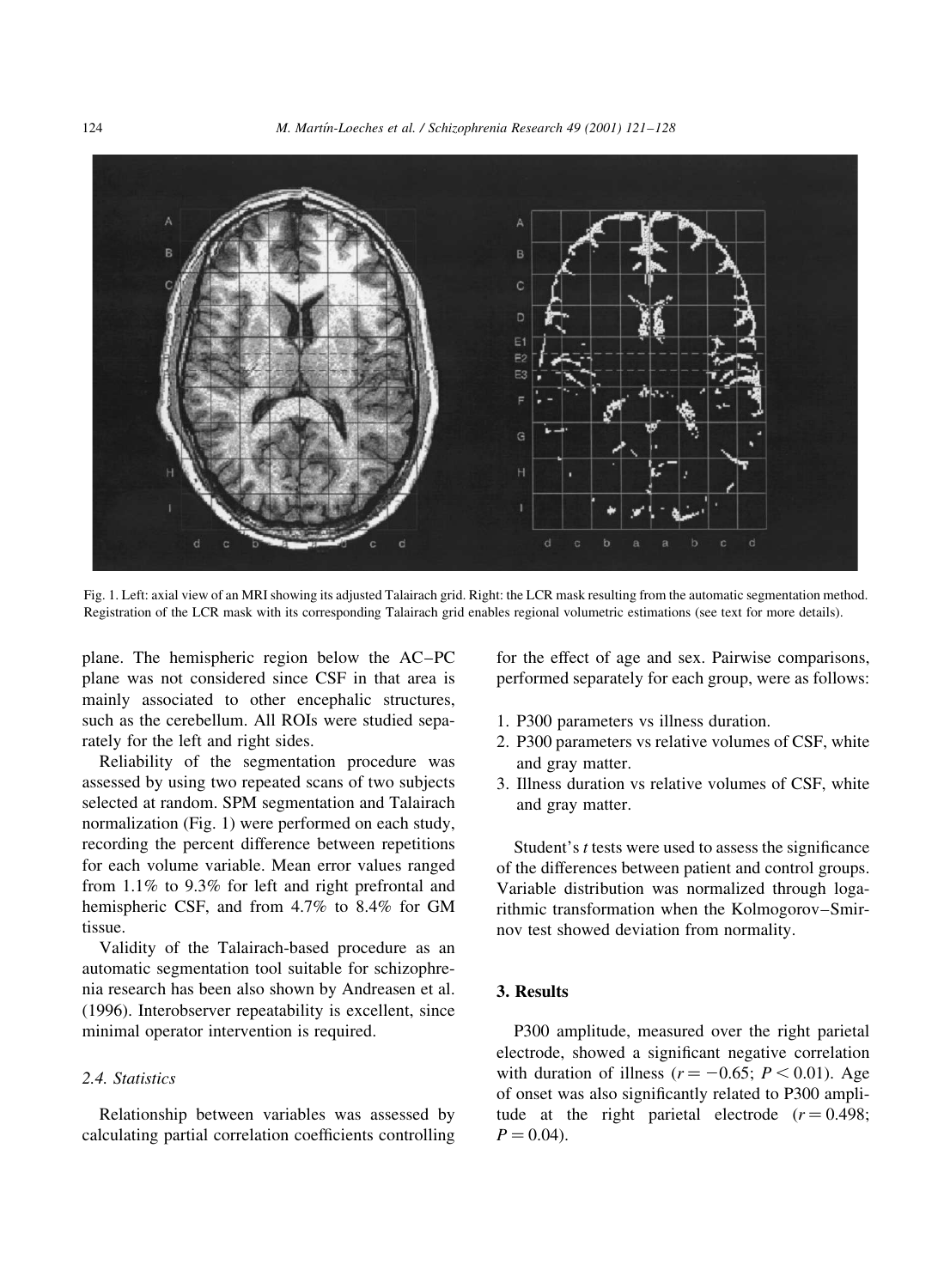

Fig. 1. Left: axial view of an MRI showing its adjusted Talairach grid. Right: the LCR mask resulting from the automatic segmentation method. Registration of the LCR mask with its corresponding Talairach grid enables regional volumetric estimations (see text for more details).

plane. The hemispheric region below the AC-PC plane was not considered since CSF in that area is mainly associated to other encephalic structures, such as the cerebellum. All ROIs were studied separately for the left and right sides.

Reliability of the segmentation procedure was assessed by using two repeated scans of two subjects selected at random. SPM segmentation and Talairach normalization (Fig. 1) were performed on each study, recording the percent difference between repetitions for each volume variable. Mean error values ranged from 1.1% to 9.3% for left and right prefrontal and hemispheric CSF, and from 4.7% to 8.4% for GM tissue.

Validity of the Talairach-based procedure as an automatic segmentation tool suitable for schizophrenia research has been also shown by Andreasen et al. (1996). Interobserver repeatability is excellent, since minimal operator intervention is required.

## 2.4. Statistics

Relationship between variables was assessed by calculating partial correlation coefficients controlling for the effect of age and sex. Pairwise comparisons, performed separately for each group, were as follows:

- 1. P300 parameters vs illness duration.
- 2. P300 parameters vs relative volumes of CSF, white and gray matter.
- 3. Illness duration vs relative volumes of CSF, white and gray matter.

Student's *t* tests were used to assess the significance of the differences between patient and control groups. Variable distribution was normalized through logarithmic transformation when the Kolmogorov-Smirnov test showed deviation from normality.

## 3. Results

P300 amplitude, measured over the right parietal electrode, showed a significant negative correlation with duration of illness ( $r = -0.65$ ;  $P < 0.01$ ). Age of onset was also significantly related to P300 amplitude at the right parietal electrode  $(r = 0.498)$ ;  $P = 0.04$ ).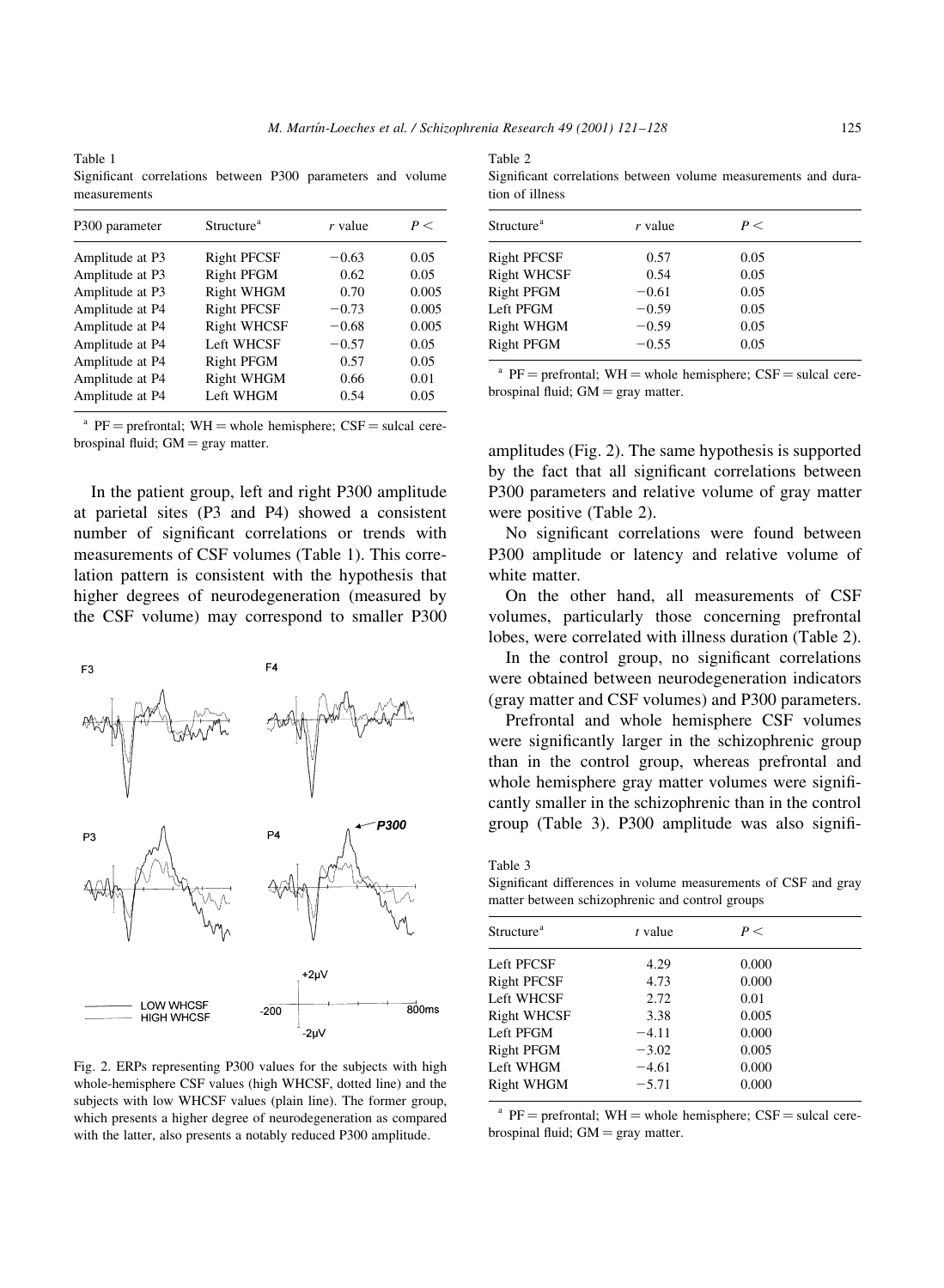$Table 2$ 

Table 1 Significant correlations between P300 parameters and volume measurements

| P300 parameter  | Structure <sup>a</sup> | r value | P<    |
|-----------------|------------------------|---------|-------|
| Amplitude at P3 | <b>Right PFCSF</b>     | $-0.63$ | 0.05  |
| Amplitude at P3 | Right PFGM             | 0.62    | 0.05  |
| Amplitude at P3 | Right WHGM             | 0.70    | 0.005 |
| Amplitude at P4 | <b>Right PFCSF</b>     | $-0.73$ | 0.005 |
| Amplitude at P4 | <b>Right WHCSF</b>     | $-0.68$ | 0.005 |
| Amplitude at P4 | Left WHCSF             | $-0.57$ | 0.05  |
| Amplitude at P4 | Right PFGM             | 0.57    | 0.05  |
| Amplitude at P4 | Right WHGM             | 0.66    | 0.01  |
| Amplitude at P4 | Left WHGM              | 0.54    | 0.05  |

 $PF =$  prefrontal;  $WH =$  whole hemisphere;  $CSF =$  sulcal cerebrospinal fluid;  $GM = gray$  matter.

In the patient group, left and right P300 amplitude at parietal sites (P3 and P4) showed a consistent number of significant correlations or trends with measurements of CSF volumes (Table 1). This correlation pattern is consistent with the hypothesis that higher degrees of neurodegeneration (measured by the CSF volume) may correspond to smaller P300



Fig. 2. ERPs representing P300 values for the subjects with high whole-hemisphere CSF values (high WHCSF, dotted line) and the subjects with low WHCSF values (plain line). The former group, which presents a higher degree of neurodegeneration as compared with the latter, also presents a notably reduced P300 amplitude.

| $A \cup B \subseteq L$ |  |                                                                |  |
|------------------------|--|----------------------------------------------------------------|--|
|                        |  | Significant correlations between volume measurements and dura- |  |
| tion of illness        |  |                                                                |  |

| Structure <sup>a</sup> | r value | P<   |  |
|------------------------|---------|------|--|
| <b>Right PFCSF</b>     | 0.57    | 0.05 |  |
| <b>Right WHCSF</b>     | 0.54    | 0.05 |  |
| Right PFGM             | $-0.61$ | 0.05 |  |
| Left PFGM              | $-0.59$ | 0.05 |  |
| Right WHGM             | $-0.59$ | 0.05 |  |
| Right PFGM             | $-0.55$ | 0.05 |  |

 $PF =$  prefrontal;  $WH =$  whole hemisphere;  $CSF =$  sulcal cerebrospinal fluid;  $GM = gray$  matter.

amplitudes (Fig. 2). The same hypothesis is supported by the fact that all significant correlations between P300 parameters and relative volume of gray matter were positive (Table 2).

No significant correlations were found between P300 amplitude or latency and relative volume of white matter.

On the other hand, all measurements of CSF volumes, particularly those concerning prefrontal lobes, were correlated with illness duration (Table 2).

In the control group, no significant correlations were obtained between neurodegeneration indicators (gray matter and CSF volumes) and P300 parameters.

Prefrontal and whole hemisphere CSF volumes were significantly larger in the schizophrenic group than in the control group, whereas prefrontal and whole hemisphere gray matter volumes were significantly smaller in the schizophrenic than in the control group (Table 3). P300 amplitude was also signifi-

Table 3

Significant differences in volume measurements of CSF and gray matter between schizophrenic and control groups

| Structure <sup>a</sup> | t value | P<    |  |
|------------------------|---------|-------|--|
| Left PFCSF             | 4.29    | 0.000 |  |
| <b>Right PFCSF</b>     | 4.73    | 0.000 |  |
| Left WHCSF             | 2.72    | 0.01  |  |
| <b>Right WHCSF</b>     | 3.38    | 0.005 |  |
| Left PFGM              | $-4.11$ | 0.000 |  |
| Right PFGM             | $-3.02$ | 0.005 |  |
| Left WHGM              | $-4.61$ | 0.000 |  |
| Right WHGM             | $-5.71$ | 0.000 |  |
|                        |         |       |  |

 $PF =$  prefrontal;  $WH =$  whole hemisphere;  $CSF =$  sulcal cerebrospinal fluid;  $GM = gray$  matter.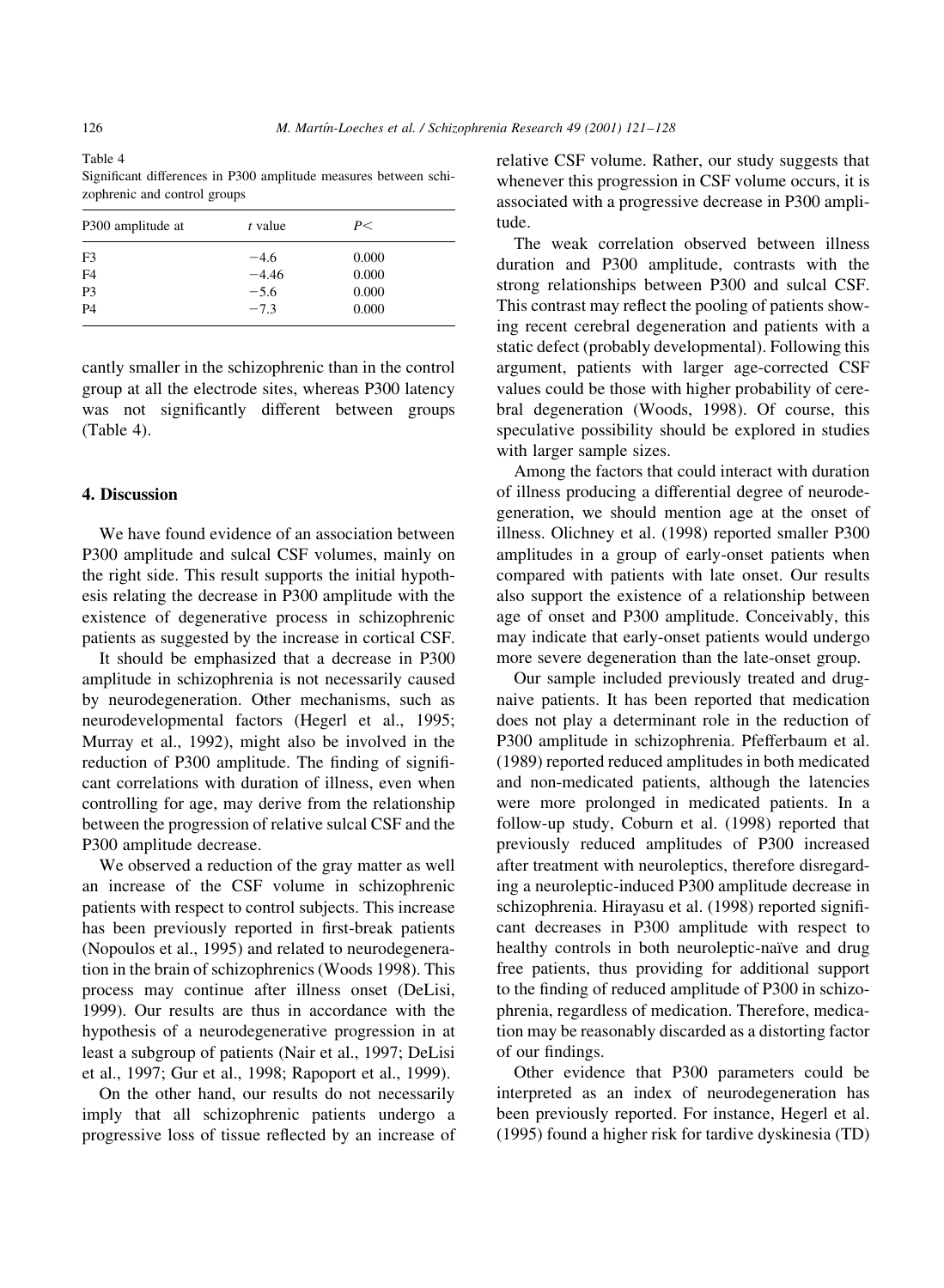Table 4 Significant differences in P300 amplitude measures between schizophrenic and control groups

| P300 amplitude at | t value | P<    |  |
|-------------------|---------|-------|--|
| F <sub>3</sub>    | $-4.6$  | 0.000 |  |
| F <sub>4</sub>    | $-4.46$ | 0.000 |  |
| P <sub>3</sub>    | $-5.6$  | 0.000 |  |
| <b>P4</b>         | $-7.3$  | 0.000 |  |

cantly smaller in the schizophrenic than in the control group at all the electrode sites, whereas P300 latency was not significantly different between groups (Table 4).

### 4. Discussion

We have found evidence of an association between P300 amplitude and sulcal CSF volumes, mainly on the right side. This result supports the initial hypothesis relating the decrease in P300 amplitude with the existence of degenerative process in schizophrenic patients as suggested by the increase in cortical CSF.

It should be emphasized that a decrease in P300 amplitude in schizophrenia is not necessarily caused by neurodegeneration. Other mechanisms, such as neurodevelopmental factors (Hegerl et al., 1995; Murray et al., 1992), might also be involved in the reduction of P300 amplitude. The finding of significant correlations with duration of illness, even when controlling for age, may derive from the relationship between the progression of relative sulcal CSF and the P300 amplitude decrease.

We observed a reduction of the gray matter as well an increase of the CSF volume in schizophrenic patients with respect to control subjects. This increase has been previously reported in first-break patients (Nopoulos et al., 1995) and related to neurodegeneration in the brain of schizophrenics (Woods 1998). This process may continue after illness onset (DeLisi, 1999). Our results are thus in accordance with the hypothesis of a neurodegenerative progression in at least a subgroup of patients (Nair et al., 1997; DeLisi et al., 1997; Gur et al., 1998; Rapoport et al., 1999).

On the other hand, our results do not necessarily imply that all schizophrenic patients undergo a progressive loss of tissue reflected by an increase of relative CSF volume. Rather, our study suggests that whenever this progression in CSF volume occurs, it is associated with a progressive decrease in P300 amplitude.

The weak correlation observed between illness duration and P300 amplitude, contrasts with the strong relationships between P300 and sulcal CSF. This contrast may reflect the pooling of patients showing recent cerebral degeneration and patients with a static defect (probably developmental). Following this argument, patients with larger age-corrected CSF values could be those with higher probability of cerebral degeneration (Woods, 1998). Of course, this speculative possibility should be explored in studies with larger sample sizes.

Among the factors that could interact with duration of illness producing a differential degree of neurodegeneration, we should mention age at the onset of illness. Olichney et al. (1998) reported smaller P300 amplitudes in a group of early-onset patients when compared with patients with late onset. Our results also support the existence of a relationship between age of onset and P300 amplitude. Conceivably, this may indicate that early-onset patients would undergo more severe degeneration than the late-onset group.

Our sample included previously treated and drugnaive patients. It has been reported that medication does not play a determinant role in the reduction of P300 amplitude in schizophrenia. Pfefferbaum et al. (1989) reported reduced amplitudes in both medicated and non-medicated patients, although the latencies were more prolonged in medicated patients. In a follow-up study, Coburn et al. (1998) reported that previously reduced amplitudes of P300 increased after treatment with neuroleptics, therefore disregarding a neuroleptic-induced P300 amplitude decrease in schizophrenia. Hirayasu et al. (1998) reported significant decreases in P300 amplitude with respect to healthy controls in both neuroleptic-naïve and drug free patients, thus providing for additional support to the finding of reduced amplitude of P300 in schizophrenia, regardless of medication. Therefore, medication may be reasonably discarded as a distorting factor of our findings.

Other evidence that P300 parameters could be interpreted as an index of neurodegeneration has been previously reported. For instance, Hegerl et al. (1995) found a higher risk for tardive dyskinesia (TD)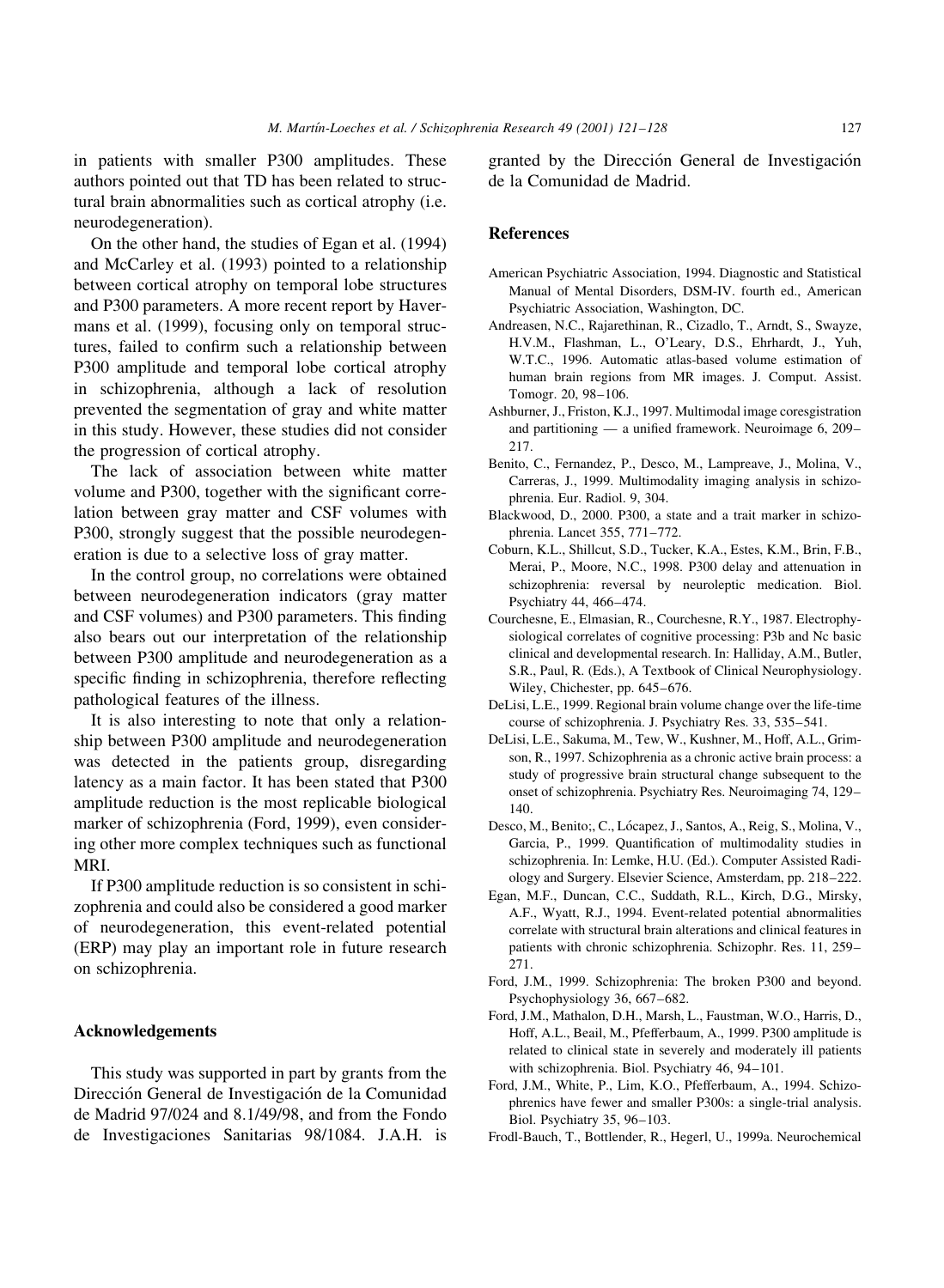in patients with smaller P300 amplitudes. These authors pointed out that TD has been related to structural brain abnormalities such as cortical atrophy (i.e. neurodegeneration).

On the other hand, the studies of Egan et al. (1994) and McCarley et al. (1993) pointed to a relationship between cortical atrophy on temporal lobe structures and P300 parameters. A more recent report by Havermans et al. (1999), focusing only on temporal structures, failed to confirm such a relationship between P300 amplitude and temporal lobe cortical atrophy in schizophrenia, although a lack of resolution prevented the segmentation of gray and white matter in this study. However, these studies did not consider the progression of cortical atrophy.

The lack of association between white matter volume and P300, together with the significant correlation between gray matter and CSF volumes with P300, strongly suggest that the possible neurodegeneration is due to a selective loss of gray matter.

In the control group, no correlations were obtained between neurodegeneration indicators (gray matter and CSF volumes) and P300 parameters. This finding also bears out our interpretation of the relationship between P300 amplitude and neurodegeneration as a specific finding in schizophrenia, therefore reflecting pathological features of the illness.

It is also interesting to note that only a relationship between P300 amplitude and neurodegeneration was detected in the patients group, disregarding latency as a main factor. It has been stated that P300 amplitude reduction is the most replicable biological marker of schizophrenia (Ford, 1999), even considering other more complex techniques such as functional MRI.

If P300 amplitude reduction is so consistent in schizophrenia and could also be considered a good marker of neurodegeneration, this event-related potential (ERP) may play an important role in future research on schizophrenia.

# Acknowledgements

This study was supported in part by grants from the Dirección General de Investigación de la Comunidad de Madrid 97/024 and 8.1/49/98, and from the Fondo de Investigaciones Sanitarias 98/1084. J.A.H. is granted by the Dirección General de Investigación de la Comunidad de Madrid.

#### **References**

- American Psychiatric Association, 1994. Diagnostic and Statistical Manual of Mental Disorders, DSM-IV. fourth ed., American Psychiatric Association, Washington, DC.
- Andreasen, N.C., Rajarethinan, R., Cizadlo, T., Arndt, S., Swayze, H.V.M., Flashman, L., O'Leary, D.S., Ehrhardt, J., Yuh, W.T.C., 1996. Automatic atlas-based volume estimation of human brain regions from MR images. J. Comput. Assist. Tomogr. 20, 98-106.
- Ashburner, J., Friston, K.J., 1997. Multimodal image coresgistration and partitioning  $-$  a unified framework. Neuroimage 6, 209 $2.17$
- Benito, C., Fernandez, P., Desco, M., Lampreave, J., Molina, V., Carreras, J., 1999. Multimodality imaging analysis in schizophrenia. Eur. Radiol. 9, 304.
- Blackwood, D., 2000. P300, a state and a trait marker in schizophrenia. Lancet 355, 771-772.
- Coburn, K.L., Shillcut, S.D., Tucker, K.A., Estes, K.M., Brin, F.B., Merai, P., Moore, N.C., 1998. P300 delay and attenuation in schizophrenia: reversal by neuroleptic medication. Biol. Psychiatry 44, 466-474.
- Courchesne, E., Elmasian, R., Courchesne, R.Y., 1987. Electrophysiological correlates of cognitive processing: P3b and Nc basic clinical and developmental research. In: Halliday, A.M., Butler, S.R., Paul, R. (Eds.), A Textbook of Clinical Neurophysiology. Wiley, Chichester, pp. 645-676.
- DeLisi, L.E., 1999. Regional brain volume change over the life-time course of schizophrenia. J. Psychiatry Res. 33, 535-541.
- DeLisi, L.E., Sakuma, M., Tew, W., Kushner, M., Hoff, A.L., Grimson, R., 1997. Schizophrenia as a chronic active brain process: a study of progressive brain structural change subsequent to the onset of schizophrenia. Psychiatry Res. Neuroimaging 74, 129- $140.$
- Desco, M., Benito;, C., Lócapez, J., Santos, A., Reig, S., Molina, V., Garcia, P., 1999. Quantification of multimodality studies in schizophrenia. In: Lemke, H.U. (Ed.). Computer Assisted Radiology and Surgery. Elsevier Science, Amsterdam, pp. 218-222.
- Egan, M.F., Duncan, C.C., Suddath, R.L., Kirch, D.G., Mirsky, A.F., Wyatt, R.J., 1994. Event-related potential abnormalities correlate with structural brain alterations and clinical features in patients with chronic schizophrenia. Schizophr. Res. 11, 259-271.
- Ford, J.M., 1999. Schizophrenia: The broken P300 and beyond. Psychophysiology 36, 667-682.
- Ford, J.M., Mathalon, D.H., Marsh, L., Faustman, W.O., Harris, D., Hoff, A.L., Beail, M., Pfefferbaum, A., 1999. P300 amplitude is related to clinical state in severely and moderately ill patients with schizophrenia. Biol. Psychiatry 46, 94-101.
- Ford, J.M., White, P., Lim, K.O., Pfefferbaum, A., 1994. Schizophrenics have fewer and smaller P300s: a single-trial analysis. Biol. Psychiatry 35, 96-103.
- Frodl-Bauch, T., Bottlender, R., Hegerl, U., 1999a. Neurochemical